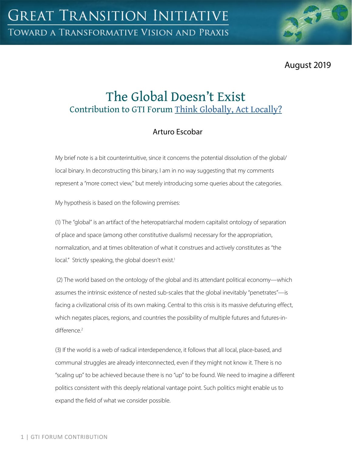August 2019

# The Global Doesn't Exist Contribution to GTI Forum [Think Globally, Act Locally?](https://greattransition.org/gti-forum/thinking-globally-acting-locally)

# Arturo Escobar

My brief note is a bit counterintuitive, since it concerns the potential dissolution of the global/ local binary. In deconstructing this binary, I am in no way suggesting that my comments represent a "more correct view," but merely introducing some queries about the categories.

My hypothesis is based on the following premises:

(1) The "global" is an artifact of the heteropatriarchal modern capitalist ontology of separation of place and space (among other constitutive dualisms) necessary for the appropriation, normalization, and at times obliteration of what it construes and actively constitutes as "the local." Strictly speaking, the global doesn't exist.<sup>1</sup>

 (2) The world based on the ontology of the global and its attendant political economy—which assumes the intrinsic existence of nested sub-scales that the global inevitably "penetrates"—is facing a civilizational crisis of its own making. Central to this crisis is its massive defuturing effect, which negates places, regions, and countries the possibility of multiple futures and futures-indifference.<sup>2</sup>

(3) If the world is a web of radical interdependence, it follows that all local, place-based, and communal struggles are already interconnected, even if they might not know it. There is no "scaling up" to be achieved because there is no "up" to be found. We need to imagine a different politics consistent with this deeply relational vantage point. Such politics might enable us to expand the field of what we consider possible.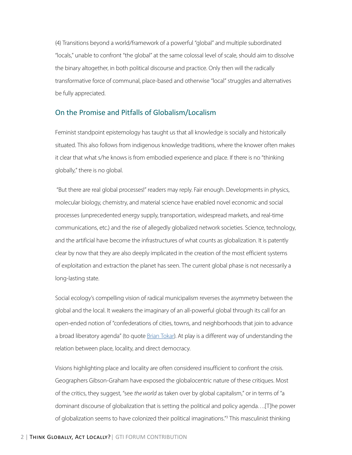(4) Transitions beyond a world/framework of a powerful "global" and multiple subordinated "locals," unable to confront "the global" at the same colossal level of scale, should aim to dissolve the binary altogether, in both political discourse and practice. Only then will the radically transformative force of communal, place-based and otherwise "local" struggles and alternatives be fully appreciated.

#### On the Promise and Pitfalls of Globalism/Localism

Feminist standpoint epistemology has taught us that all knowledge is socially and historically situated. This also follows from indigenous knowledge traditions, where the knower often makes it clear that what s/he knows is from embodied experience and place. If there is no "thinking globally," there is no global.

 "But there are real global processes!" readers may reply. Fair enough. Developments in physics, molecular biology, chemistry, and material science have enabled novel economic and social processes (unprecedented energy supply, transportation, widespread markets, and real-time communications, etc.) and the rise of allegedly globalized network societies. Science, technology, and the artificial have become the infrastructures of what counts as globalization. It is patently clear by now that they are also deeply implicated in the creation of the most efficient systems of exploitation and extraction the planet has seen. The current global phase is not necessarily a long-lasting state.

Social ecology's compelling vision of radical municipalism reverses the asymmetry between the global and the local. It weakens the imaginary of an all-powerful global through its call for an open-ended notion of "confederations of cities, towns, and neighborhoods that join to advance a broad liberatory agenda" (to quote [Brian Tokar\)](https://greattransition.org/gti-forum/global-local). At play is a different way of understanding the relation between place, locality, and direct democracy.

Visions highlighting place and locality are often considered insufficient to confront the crisis. Geographers Gibson-Graham have exposed the globalocentric nature of these critiques. Most of the critics, they suggest, "see *the world* as taken over by global capitalism," or in terms of "a dominant discourse of globalization that is setting the political and policy agenda….[T]he power of globalization seems to have colonized their political imaginations."<sup>3</sup> This masculinist thinking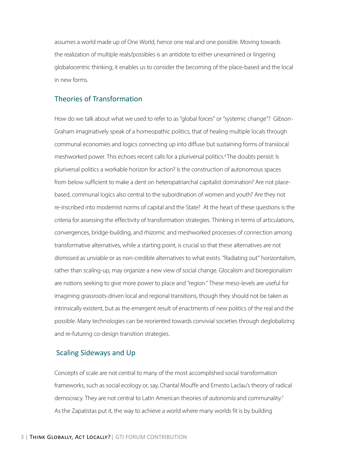assumes a world made up of One World, hence one real and one possible. Moving towards the realization of multiple reals/possibles is an antidote to either unexamined or lingering globalocentric thinking; it enables us to consider the becoming of the place-based and the local in new forms.

#### Theories of Transformation

How do we talk about what we used to refer to as "global forces" or "systemic change"? Gibson-Graham imaginatively speak of a homeopathic politics, that of healing multiple locals through communal economies and logics connecting up into diffuse but sustaining forms of translocal meshworked power. This echoes recent calls for a pluriversal politics.<sup>4</sup> The doubts persist: Is pluriversal politics a workable horizon for action? Is the construction of autonomous spaces from below sufficient to make a dent on heteropatriarchal capitalist domination? Are not placebased, communal logics also central to the subordination of women and youth? Are they not re-inscribed into modernist norms of capital and the State? At the heart of these questions is the criteria for assessing the effectivity of transformation strategies. Thinking in terms of articulations, convergences, bridge-building, and rhizomic and meshworked processes of connection among transformative alternatives, while a starting point, is crucial so that these alternatives are not dismissed as unviable or as non-credible alternatives to what exists. "Radiating out" horizontalism, rather than scaling-up, may organize a new view of social change. Glocalism and bioregionalism are notions seeking to give more power to place and "region." These meso-levels are useful for imagining grassroots-driven local and regional transitions, though they should not be taken as intrinsically existent, but as the emergent result of enactments of new politics of the real and the possible. Many technologies can be reoriented towards convivial societies through deglobalizing and re-futuring co-design transition strategies.

#### Scaling Sideways and Up

Concepts of scale are not central to many of the most accomplished social transformation frameworks, such as social ecology or, say, Chantal Mouffe and Ernesto Laclau's theory of radical democracy. They are not central to Latin American theories of *autonomía* and communality.5 As the Zapatistas put it, the way to achieve a world where many worlds fit is by building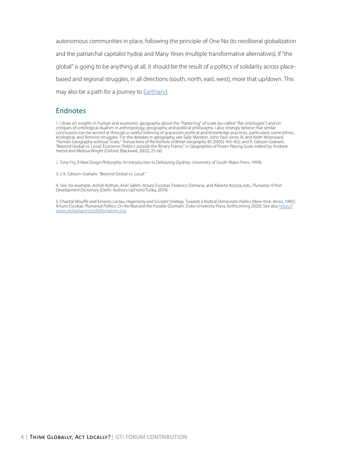autonomous communities in place, following the principle of One No (to neoliberal globalization and the patriarchal capitalist hydra) and Many Yeses (multiple transformative alternatives). If "the global" is going to be anything at all, it should be the result of a politics of solidarity across placebased and regional struggles, in all directions (south, north, east, west), more that up/down. This may also be a path for a journey to **[Earthland](https://greattransition.org/publication/journey-to-earthland)**.

#### Endnotes

1. I draw on insights in human and economic geography about the "flattening" of scale (so-called "flat ontologies") and on critiques of ontological dualism in anthropology, geography, and political philosophy. I also strongly believe that similar conclusions can be arrived at through a careful listening of grassroots political and knowledge practices, particularly some ethnic, ecological, and feminist struggles. For the debates in geography, see Sally Marston, John Paul Jones III, and Keith Woorward, "Human Geography without Scale," *Transactions of the Institute of British Geography* 30 (2005): 416-432; and K. Gibson-Graham, "Beyond Global vs. Local: Economic Politics outside the Binary Frame," in *Geographies of Power: Placing Scale*, edited by Andrew Herod and Melissa Wright (Oxford: Blackwell, 2002), 25-60.

2. Tony Fry, *A New Design Philosophy: An Introduction to Defuturing* (Sydney: University of South Wales Press, 1999).

3. J. K. Gibson-Graham, "Beyond Global vs. Local."

4. See, for example, Ashish Kothari, Ariel Salleh, Arturo Escobar, Federico Demaria, and Alberto Acosta, eds., *Pluriverse: A Post-Development Dictionary* (Delhi: Authors UpFront/Tulika, 2019).

5. Chantal Mouffe and Ernesto Laclau, *Hegemony and Socialist Strategy. Towards a Radical Democratic Politics* (New York: Verso, 1985); Arturo Escobar, *Pluriversal Politics: On the Real and the Possible* (Durham: Duke University Press, forthcoming 2020). See also https:// www[.globaltapestryofalternatives.org](www.globaltapestryofalternatives.org).